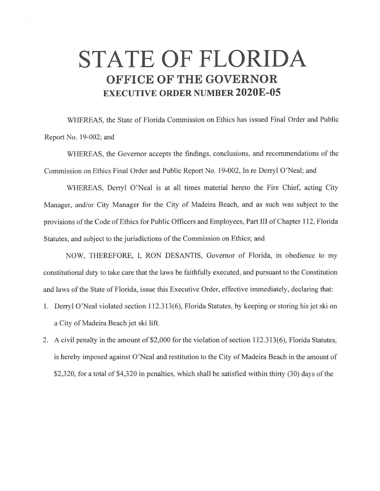## **STATE OF FLORIDA OFFICE OF THE GOVERNOR EXECUTIVE ORDER NUMBER 2020E-05**

WHEREAS, the State of Florida Commission on Ethics has issued Final Order and Public Report No. 19-002; and

WHEREAS, the Governor accepts the findings, conclusions, and recommendations of the Commission on Ethics Final Order and Public Report No. 19-002, In re Derry! O'Neal; and

WHEREAS, Derry! O'Neal is at all times material hereto the Fire Chief, acting City Manager, and/or City Manager for the City of Madeira Beach, and as such was subject to the provisions of the Code of Ethics for Public Officers and Employees, Part III of Chapter 112, Florida Statutes, and subject to the jurisdictions of the Commission on Ethics; and

NOW, THEREFORE, I, RON DESANTIS, Governor of Florida, in obedience to my constitutional duty to take care that the laws be faithfully executed, and pursuant to the Constitution and laws of the State of Florida, issue this Executive Order, effective immediately, declaring that:

- 1. Derry! O'Neal violated section 112.313(6), Florida Statutes, by keeping or storing his jet ski on a City of Madeira Beach jet ski lift.
- 2. A civil penalty in the amount of \$2,000 for the violation of section 112.313(6), Florida Statutes, is hereby imposed against O'Neal and restitution to the City of Madeira Beach in the amount of \$2,320, for a total of \$4,320 in penalties, which shall be satisfied within thirty (30) days of the